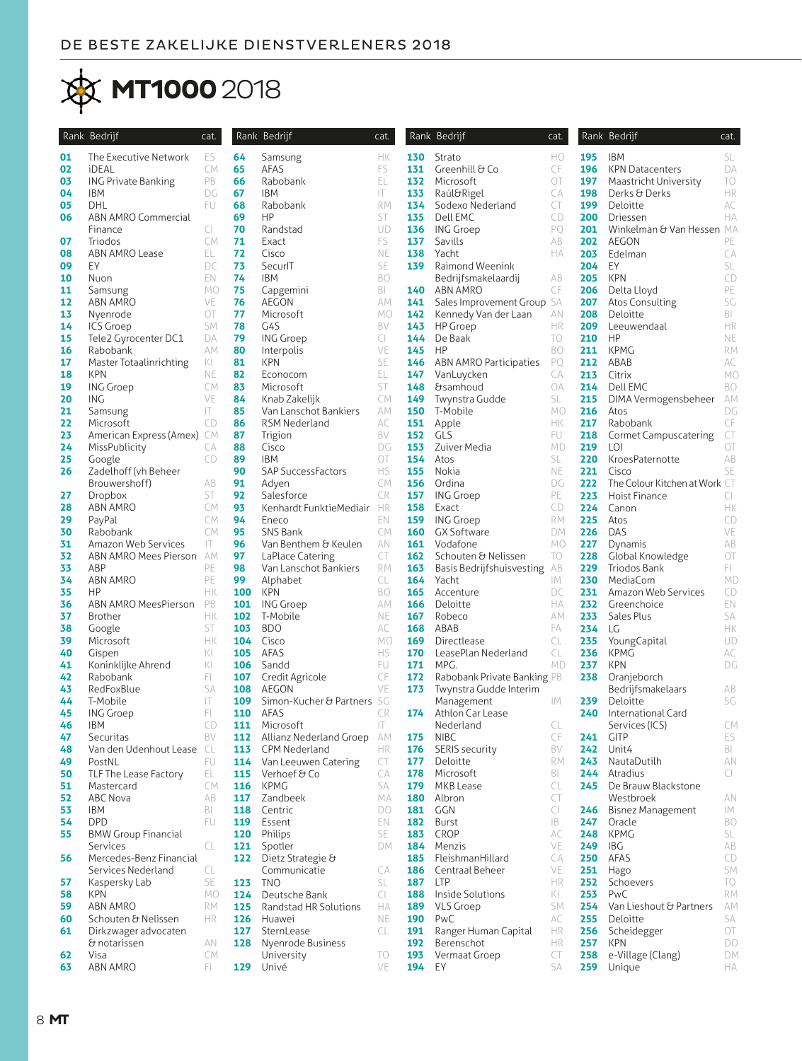## **MT1000 2018**

|          | Rank Bedrijf                                | cat.                    |            | Rank Bedrijf               | cat.      |            | Rank Bedrijf                  | cat.      |            | Rank Bedrijf                             | cat.           |
|----------|---------------------------------------------|-------------------------|------------|----------------------------|-----------|------------|-------------------------------|-----------|------------|------------------------------------------|----------------|
| 01       | The Executive Network                       | ES                      | 64         | Samsung                    | HК        | 130        | Strato                        | HO        | 195        | <b>IBM</b>                               | SL             |
| 02       | iDEAL                                       | CM.                     | 65         | AFAS                       | FS        | 131        | Greenhill & Co                | CF        | 196        | <b>KPN Datacenters</b>                   | DA             |
| 03       | <b>ING Private Banking</b>                  | PB                      | 66         | Rabobank                   | EL        | 132        | Microsoft                     | OT        | 197        | Maastricht University                    | TO             |
| 04       | <b>IBM</b>                                  | DG                      | 67         | <b>IBM</b>                 | IT.       | 133        | Raúl&Rigel                    | CA        | 198        | Derks & Derks                            | HR             |
| 05       | DHL                                         | FU.                     | 68         | Rabobank                   | <b>RM</b> | 134        | Sodexo Nederland              | CT        | 199        | Deloitte                                 | AC             |
| 06       | ABN AMRO Commercial                         |                         | 69         | <b>HP</b>                  | ST        | 135        | Dell EMC                      | CD        | 200        | Driessen                                 | HA             |
| 07       | Finance<br>Triodos                          | CI<br>CM.               | 70<br>71   | Randstad<br>Exact          | UD<br>FS  | 136<br>137 | <b>ING Groep</b><br>Savills   | PO<br>AB  | 201<br>202 | Winkelman & Van Hessen MA<br>AEGON       | PE             |
| 08       | ABN AMRO Lease                              | EL.                     | 72         | Cisco                      | NE        | 138        | Yacht                         | HA        | 203        | Edelman                                  | CA             |
| 09       | EY                                          | DC                      | 73         | SecurlT                    | SE        | 139        | Raimond Weenink               |           | 204        | EY                                       | SL             |
| 10       | Nuon                                        | EN.                     | 74         | <b>IBM</b>                 | <b>BO</b> |            | Bedrijfsmakelaardij           | AB        | 205        | <b>KPN</b>                               | CD             |
| 11       | Samsung                                     | МO                      | 75         | Capgemini                  | BI        | 140        | ABN AMRO                      | CF        | 206        | Delta Lloyd                              | PE             |
| 12       | ABN AMRO                                    | VE                      | 76         | AEGON                      | АM        | 141        | Sales Improvement Group SA    |           | 207        | Atos Consulting                          | SG             |
| 13       | Nyenrode                                    | ОT                      | 77         | Microsoft                  | MO        | 142        | Kennedy Van der Laan          | ΑN        | 208        | Deloitte                                 | BI             |
| 14       | <b>ICS Groep</b>                            | SM                      | 78         | G4S                        | BV        | 143        | HP Groep                      | HR        | 209        | Leeuwendaal                              | HR             |
| 15       | Tele2 Gyrocenter DC1                        | DA                      | 79         | <b>ING Groep</b>           | CI        | 144        | De Baak                       | TO        | 210        | HP                                       | NE             |
| 16       | Rabobank                                    | АM                      | 80         | Interpolis                 | VE        | 145        | HP                            | BO        | 211        | <b>KPMG</b>                              | <b>RM</b>      |
| 17       | Master Totaalinrichting                     | KI                      | 81         | <b>KPN</b>                 | SE        | 146        | <b>ABN AMRO Participaties</b> | PO        | 212        | ABAB                                     | АC             |
| 18       | <b>KPN</b>                                  | <b>NE</b>               | 82         | Econocom                   | EL        | 147        | VanLuycken                    | СA        | 213        | Citrix                                   | MO             |
| 19       | <b>ING Groep</b>                            | СM                      | 83         | Microsoft                  | ST        | 148        | <b>&amp;samhoud</b>           | ОA        | 214        | Dell EMC                                 | BO             |
| 20       | ING                                         | VE                      | 84         | Knab Zakelijk              | CM        | 149        | Twynstra Gudde                | SL        | 215        | DIMA Vermogensbeheer                     | АM             |
| 21       | Samsung                                     | IT.                     | 85         | Van Lanschot Bankiers      | АM        | 150        | T-Mobile                      | MO        | 216        | Atos                                     | DG<br>CF       |
| 22<br>23 | Microsoft                                   | CD                      | 86<br>87   | RSM Nederland              | АC<br>BV  | 151<br>152 | Apple<br>GLS                  | HК<br>FU. | 217<br>218 | Rabobank<br><b>Cormet Campuscatering</b> | CT             |
| 24       | American Express (Amex) CM<br>MissPublicity | CA                      | 88         | Trigion<br>Cisco           | DG        | 153        | Zuiver Media                  | MD        | 219        | LOI                                      | OT             |
| 25       | Google                                      | CD                      | 89         | <b>IBM</b>                 | OT        | 154        | Atos                          | SL        | 220        | KroesPaternotte                          | AB             |
| 26       | Zadelhoff (vh Beheer                        |                         | 90         | SAP SuccessFactors         | HS        | 155        | Nokia                         | NE.       | 221        | Cisco                                    | SE             |
|          | Brouwershoff)                               | AB                      | 91         | Adven                      | CM        | 156        | Ordina                        | DG        | 222        | The Colour Kitchen at Work CT            |                |
| 27       | <b>Dropbox</b>                              | ST                      | 92         | Salesforce                 | CR        | 157        | <b>ING Groep</b>              | PE        | 223        | Hoist Finance                            | CI             |
| 28       | ABN AMRO                                    | СM                      | 93         | Kenhardt FunktieMediair HR |           | 158        | Exact                         | CD        | 224        | Canon                                    | НK             |
| 29       | PayPal                                      | CM.                     | 94         | Eneco                      | EN        | 159        | <b>ING Groep</b>              | RM.       | 225        | Atos                                     | CD             |
| 30       | Rabobank                                    | CM.                     | 95         | SNS Bank                   | CM.       | 160        | GX Software                   | DM        | 226        | DAS                                      | VE             |
| 31       | Amazon Web Services                         | $\mathsf{I} \mathsf{T}$ | 96         | Van Benthem & Keulen       | AN        | 161        | Vodafone                      | MO        | 227        | Dynamis                                  | AB             |
| 32       | ABN AMRO Mees Pierson AM                    |                         | 97         | LaPlace Catering           | CT        | 162        | Schouten & Nelissen           | TO        | 228        | Global Knowledge                         | OT             |
| 33       | ABP                                         | PE                      | 98         | Van Lanschot Bankiers      | <b>RM</b> | 163        | Basis Bedrijfshuisvesting     | AB        | 229        | Triodos Bank                             | FI.            |
| 34       | ABN AMRO                                    | PE                      | 99         | Alphabet                   | CL        | 164        | Yacht                         | IМ        | 230        | MediaCom                                 | <b>MD</b>      |
| 35       | HP                                          | HК                      | 100        | <b>KPN</b>                 | BO        | 165        | Accenture                     | DC        | 231        | Amazon Web Services                      | CD             |
| 36<br>37 | ABN AMRO MeesPierson                        | PB<br>HК                | 101        | <b>ING Groep</b>           | АM<br>NE  | 166        | Deloitte                      | HA        | 232<br>233 | Greenchoice                              | EN             |
| 38       | Brother<br>Google                           | ST                      | 102<br>103 | T-Mobile<br><b>BDO</b>     | АC        | 167<br>168 | Robeco<br>ABAB                | AM<br>FA  | 234        | Sales Plus<br>LG                         | SA<br>HK       |
| 39       | Microsoft                                   | HК                      | 104        | Cisco                      | MO        | 169        | Directlease                   | CL        | 235        | YoungCapital                             | UD             |
| 40       | Gispen                                      | x                       | 105        | AFAS                       | <b>HS</b> | 170        | LeasePlan Nederland           | CL        | 236        | <b>KPMG</b>                              | АC             |
| 41       | Koninklijke Ahrend                          | KI                      | 106        | Sandd                      | FU        | 171        | MPG.                          | <b>MD</b> | 237        | <b>KPN</b>                               | DG             |
| 42       | Rabobank                                    | FL.                     | 107        | Credit Agricole            | CF        | 172        | Rabobank Private Banking PB   |           | 238        | Oranjeborch                              |                |
| 43       | RedFoxBlue                                  | SA                      | 108        | <b>AEGON</b>               | VE        | 173        | Twynstra Gudde Interim        |           |            | Bedrijfsmakelaars                        | AB             |
| 44       | T-Mobile                                    | IT.                     | 109        | Simon-Kucher & Partners SG |           |            | Management                    | IМ        | 239        | Deloitte                                 | SG             |
| 45       | <b>ING Groep</b>                            | FL.                     | 110        | AFAS                       | CR        | 174        | Athlon Car Lease              |           | 240        | International Card                       |                |
| 46       | <b>IBM</b>                                  | CD                      | 111        | Microsoft                  | IT.       |            | Nederland                     | CL        |            | Services (ICS)                           | CM             |
| 47       | Securitas                                   | BV                      | 112        | Allianz Nederland Groep AM |           | 175        | <b>NIBC</b>                   | CF        | 241        | <b>GITP</b>                              | ES             |
| 48       | Van den Udenhout Lease CL                   |                         |            | 113 CPM Nederland          | HR        | 176        | SERIS security                | BV        |            | <b>242</b> Unit4                         | BI             |
| 49       | PostNL                                      | FU                      |            | 114 Van Leeuwen Catering   | CT        | 177        | Deloitte                      | RM        |            | 243 NautaDutilh                          | AN             |
| 50       | TLF The Lease Factory                       | EL                      | 115        | Verhoef & Co               | СA        | 178        | Microsoft                     | BI        | 244        | Atradius                                 | CI             |
| 51       | Mastercard                                  | СM                      | 116        | <b>KPMG</b>                | SA        | 179        | MKB Lease                     | CL        | 245        | De Brauw Blackstone                      |                |
| 52<br>53 | ABC Nova<br>IBM                             | AB<br>BI                | 117<br>118 | Zandbeek<br>Centric        | МA<br>DO  | 180<br>181 | Albron<br>GGN                 | CT<br>CI  | 246        | Westbroek                                | AN<br>IМ       |
| 54       | <b>DPD</b>                                  | FU                      | 119        | Essent                     | EN        | 182        | Burst                         | IB        | 247        | <b>Bisnez Management</b><br>Oracle       | BO             |
| 55       | <b>BMW Group Financial</b>                  |                         | 120        | Philips                    | SE        | 183        | <b>CROP</b>                   | АC        | 248        | KPMG                                     | SL             |
|          | Services                                    | CL                      | 121        | Spotler                    | DM        | 184        | Menzis                        | VE        | 249        | IBG                                      | AB             |
| 56       | Mercedes-Benz Financial                     |                         | 122        | Dietz Strategie &          |           | 185        | FleishmanHillard              | СA        | 250        | AFAS                                     | CD             |
|          | Services Nederland                          | CL                      |            | Communicatie               | СA        | 186        | Centraal Beheer               | VE        | 251        | Hago                                     | SM             |
| 57       | Kaspersky Lab                               | SE                      | 123        | <b>TNO</b>                 | SL.       | 187        | <b>LTP</b>                    | HR        | 252        | Schoevers                                | TO             |
| 58       | <b>KPN</b>                                  | МO                      | 124        | Deutsche Bank              | CI        | 188        | Inside Solutions              | KI        | 253        | PwC                                      | <b>RM</b>      |
| 59       | <b>ABN AMRO</b>                             | RM                      | 125        | Randstad HR Solutions      | HA        | 189        | VLS Groep                     | SM        | 254        | Van Lieshout & Partners                  | ΑM             |
| 60       | Schouten & Nelissen                         | HR.                     | 126        | Huawei                     | NE        | 190        | PwC                           | АC        | 255        | Deloitte                                 | SA             |
| 61       | Dirkzwager advocaten                        |                         | 127        | SternLease                 | CL        | 191        | Ranger Human Capital          | HR        | 256        | Scheidegger                              | $\bigcirc\top$ |
|          | & notarissen                                | AN                      | 128        | Nyenrode Business          |           | 192        | Berenschot                    | HR        | 257        | <b>KPN</b>                               | DO             |
| 62       | Visa                                        | СM                      |            | University                 | TO        | 193        | Vermaat Groep                 | CT        | 258        | e-Village (Clang)                        | DM             |
| 63       | ABN AMRO                                    | FL.                     |            | 129 Univé                  | VE        | 194        | EY                            | SA        | 259        | Unique                                   | НA             |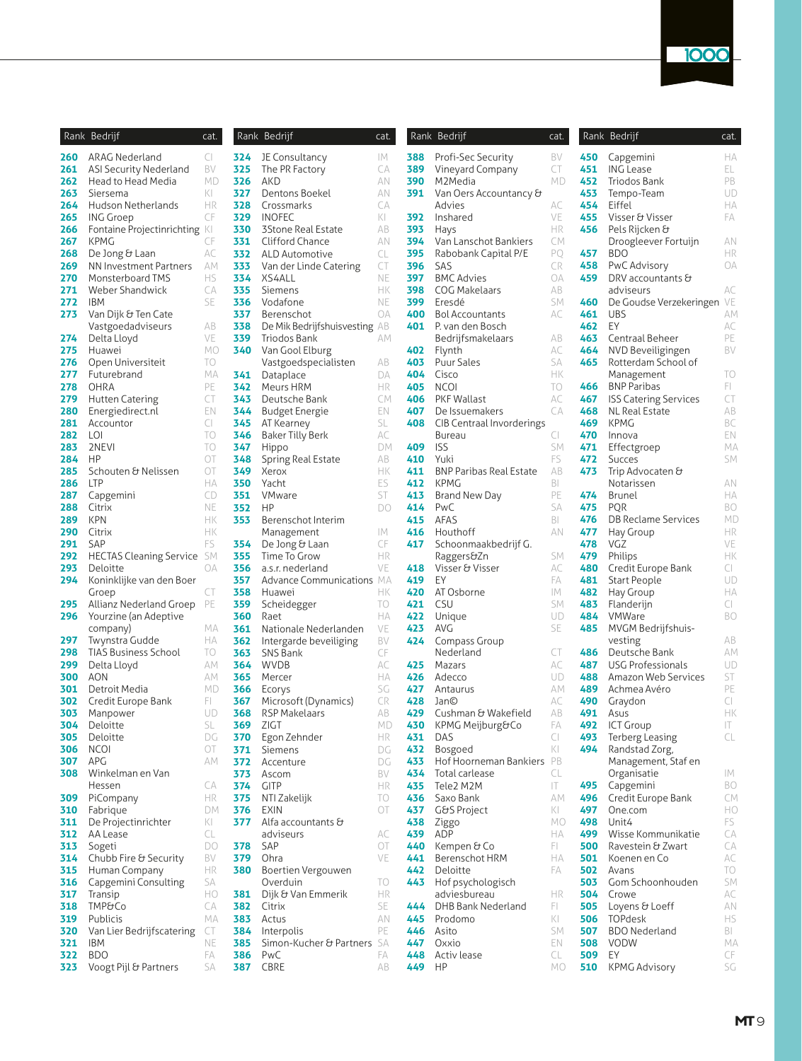| Rank       | Bedrijf                        | cat.     |
|------------|--------------------------------|----------|
| 260        | <b>ARAG Nederland</b>          | CI       |
| 261        | ASI Security Nederland         | BV       |
| 262        | Head to Head Media             | МD       |
| 263        | Siersema                       | KI       |
| 264        | Hudson Netherlands             | ΗR       |
| 265        | <b>ING Groep</b>               | CF       |
| 266        | Fontaine Projectinrichting     | KL       |
| 267        | KPMG                           | CF       |
| 268        | De Jong & Laan                 | АC       |
| 269        | NN Investment Partners         | AМ       |
| 270        | Monsterboard TMS               | НS       |
| 271        | <b>Weber Shandwick</b>         | CА       |
| 272        | <b>IBM</b>                     | SE       |
| 273        | Van Dijk & Ten Cate            |          |
|            | Vastgoedadviseurs              | AВ       |
| 274        | Delta Lloyd                    | VE       |
| 275        | Huawei                         | МO       |
| 276        | Open Universiteit              | TO       |
| 277        | Futurebrand                    | МA       |
| 278        | OHRA                           | PE       |
| 279        | <b>Hutten Catering</b>         | CT       |
| 280        | Energiedirect.nl               | EN       |
| 281        | Accountor                      | CI       |
| 282        | LOI                            | TO       |
| 283        | 2NEVI                          | TO       |
| 284        | ΗP                             | ОT       |
| 285        | Schouten & Nelissen            | ОT       |
| 286        | LTP                            | НA       |
| 287        | Capgemini                      | CD       |
| 288        | Citrix                         | NE       |
| 289        | KPN                            | HК       |
| 290        | Citrix                         | HК       |
| 291        | SAP                            | FS       |
| 292        | <b>HECTAS Cleaning Service</b> | SМ       |
| 293        | Deloitte                       | OA       |
| 294        | Koninklijke van den Boer       |          |
|            | Groep                          | CT       |
| 295        | Allianz Nederland Groep        | PE       |
| 296        | Yourzine (an Adeptive          |          |
|            | company)                       | МA       |
| 297        | Twynstra Gudde                 | НA       |
| 298        | <b>TIAS Business School</b>    | TO       |
| 299        | Delta Lloyd                    | AМ       |
| 300        | AON                            | AМ       |
| 301        | Detroit Media                  | МD       |
| 302        | Credit Europe Bank             | FI.      |
| 303        | Manpower                       | UD       |
| 304        | Deloitte                       | SL       |
| 305        | Deloitte                       | DG       |
| 306        | NCOI                           | ОT       |
| 307        | APG                            | AΜ       |
| 308        | Winkelman en Van               |          |
|            | Hessen                         | CА       |
| 309        | PiCompany                      | ΗR       |
| 310        | Fabrique                       | DM       |
| 311        | De Projectinrichter            | KI       |
| 312        | AA Lease                       | CL       |
| 313        | Sogeti                         | DO       |
| 314        | Chubb Fire & Security          | BV       |
| 315        | Human Company                  | НR       |
| 316        | Capgemini Consulting           | SA       |
| 317        | Transip                        | НO       |
| 318        | <b>TMP&amp;Co</b>              | CА       |
| 319        | Publicis                       | МA       |
| 320        | Van Lier Bedrijfscatering      | CT<br>NE |
| 321<br>322 | IBM<br><b>BDO</b>              | FA       |
| 323        | Voogt Pijl & Partners          | SA       |
|            |                                |          |

|            | Rank Bedrijf                      | cat.     |
|------------|-----------------------------------|----------|
| 324        | JE Consultancy                    | IМ       |
| 325        | The PR Factory                    | CA       |
| 326        | AKD                               | ΑN       |
| 327        | Dentons Boekel                    | ΑN       |
| 328        | Crossmarks                        | CА       |
| 329        | INOFEC                            | KI       |
| 330        | 3Stone Real Estate                | AВ       |
| 331<br>332 | Clifford Chance<br>ALD Automotive | ΑN<br>CL |
| 333        | Van der Linde Catering            | CT       |
| 334        | XS4ALL                            | NE       |
| 335        | Siemens                           | HК       |
| 336        | Vodafone                          | NE       |
| 337        | Berenschot                        | OA       |
| 338        | De Mik Bedrijfshuisvesting        | AВ       |
| 339        | Triodos Bank                      | ΑМ       |
| 340        | Van Gool Elburg                   |          |
| 341        | Vastgoedspecialisten<br>Dataplace | AВ<br>DA |
| 342        | Meurs HRM                         | НR       |
| 343        | Deutsche Bank                     | CМ       |
| 344        | Budget Energie                    | EΝ       |
| 345        | AT Kearney                        | SL       |
| 346        | <b>Baker Tilly Berk</b>           | АC       |
| 347        | Hippo                             | DM       |
| 348        | Spring Real Estate                | AB       |
| 349        | Xerox                             | HК       |
| 350<br>351 | Yacht<br>VMware                   | ES<br>ST |
| 352        | ΗP                                | DO       |
| 353        | Berenschot Interim                |          |
|            | Management                        | IМ       |
| 354        | De Jong & Laan                    | CF       |
| 355        | Time To Grow                      | НR       |
| 356        | a.s.r. nederland                  | VE       |
| 357        | <b>Advance Communications</b>     | МA       |
| 358<br>359 | Huawei                            | HК       |
| 360        | Scheidegger<br>Raet               | TO<br>НA |
| 361        | Nationale Nederlanden             | VE       |
| 362        | Intergarde beveiliging            | BV       |
| 363        | SNS Bank                          | CF       |
| 364        | WVDB                              | АC       |
| 365        | Mercer                            | НA       |
| 366        | Ecorys                            | SG       |
| 367        | Microsoft (Dynamics)              | CR       |
| 368<br>369 | RSP Makelaars<br>ZIGT             | AВ<br>МD |
| 370        | Egon Zehnder                      | ΗR       |
| 371        | Siemens                           | DG       |
| 372        | Accenture                         | DG       |
| 373        | Ascom                             | BV       |
| 374        | <b>GITP</b>                       | НR       |
| 375        | NTI Zakelijk                      | TO       |
| 376        | EXIN                              | ОT       |
| 377        | Alfa accountants &                | AC       |
| 378        | adviseurs<br>SAP                  | ОТ       |
| 379        | Ohra                              | VE       |
| 380        | Boertien Vergouwen                |          |
|            | Overduin                          | TO       |
| 381        | Dijk & Van Emmerik                | ΗR       |
| 382        | Citrix                            | SE       |
| 383        | Actus                             | AN       |
| 384        | Interpolis                        | PE       |
| 385<br>386 | Simon-Kucher & Partners<br>PwC    | SA<br>FA |
| 387        | <b>CBRE</b>                       | AB       |
|            |                                   |          |

|          | Rank Bedrijf                  | cat.      |                 | Rank Bedrijf                                    | cat.      |            | Rank Bedrijf                          | cat.                           |            | Rank Bedrijf                 | cat.      |
|----------|-------------------------------|-----------|-----------------|-------------------------------------------------|-----------|------------|---------------------------------------|--------------------------------|------------|------------------------------|-----------|
| :60      | ARAG Nederland                | CI.       | 324             | JE Consultancy                                  | IМ        | 388        | Profi-Sec Security                    | BV                             | 450        | Capgemini                    | НA        |
| :61      | ASI Security Nederland        | BV        | 325             | The PR Factory                                  | СA        | 389        | Vineyard Company                      | CT                             | 451        | <b>ING Lease</b>             | EL.       |
| :62      | Head to Head Media            | MD        | 326             | AKD                                             | ΑN        | 390        | M2Media                               | MD                             | 452        | Triodos Bank                 | PB        |
| :63      | Siersema                      | KI        | 327             | Dentons Boekel                                  | AN        | 391        | Van Oers Accountancy &                |                                | 453        | Tempo-Team                   | UD        |
| :64      | Hudson Netherlands            | HR        | 328             | Crossmarks                                      | СA        |            | Advies                                | АC                             | 454        | Eiffel                       | HA        |
| :65      | <b>ING Groep</b>              | CF        | 329             | <b>INOFEC</b>                                   | KL        | 392        | Inshared                              | VE                             | 455        | Visser & Visser              | FA        |
| :66      | Fontaine Projectinrichting KI |           | 330             | 3Stone Real Estate                              | AB        | 393        | Hays                                  | HR                             | 456        | Pels Rijcken &               |           |
| :67      | <b>KPMG</b>                   | CF        | 331             | Clifford Chance                                 | AN        | 394        | Van Lanschot Bankiers                 | СM                             |            | Droogleever Fortuijn         | AN        |
| 86!      | De Jong & Laan                | АC        | 332             | ALD Automotive                                  | CL        | 395        | Rabobank Capital P/E                  | РQ                             | 457        | <b>BDO</b>                   | <b>HR</b> |
| :69      | NN Investment Partners        | АM        | 333             | Van der Linde Catering                          | CT        | 396        | SAS                                   | CR                             | 458        | PwC Advisory                 | ОA        |
| !70      | Monsterboard TMS              | <b>HS</b> | 334             | XS4ALL                                          | NE        | 397        | <b>BMC Advies</b>                     | <b>OA</b>                      | 459        | DRV accountants &            |           |
| !71      | Weber Shandwick               | СA        | 335             | Siemens                                         | HК        | 398        | COG Makelaars                         | AB                             |            | adviseurs                    | AC        |
| !72      | <b>IBM</b>                    | <b>SE</b> | 336             | Vodafone                                        | NE        | 399        | Eresdé                                | SM                             | 460        | De Goudse Verzekeringen VE   |           |
| :73      | Van Dijk & Ten Cate           |           | 337<br>338      | Berenschot                                      | <b>OA</b> | 400<br>401 | <b>Bol Accountants</b>                | АC                             | 461<br>462 | <b>UBS</b><br>EY             | АM        |
| :74      | Vastgoedadviseurs             | AB<br>VE  | 339             | De Mik Bedrijfshuisvesting AB<br>Triodos Bank   | АM        |            | P. van den Bosch<br>Bedrijfsmakelaars | AB                             | 463        | Centraal Beheer              | АC<br>PE  |
| :75      | Delta Lloyd<br>Huawei         | MO        | 340             | Van Gool Elburg                                 |           | 402        | Flynth                                | АC                             | 464        | NVD Beveiligingen            | BV        |
| !76      | Open Universiteit             | TO        |                 | Vastgoedspecialisten                            | AB        | 403        | Puur Sales                            | SA                             | 465        | Rotterdam School of          |           |
| !77      | Futurebrand                   | MA        | 341             | Dataplace                                       | DA        | 404        | Cisco                                 | НK                             |            | Management                   | TO        |
| !78      | OHRA                          | PE        | 342             | Meurs HRM                                       | <b>HR</b> | 405        | <b>NCOI</b>                           | TO                             | 466        | <b>BNP Paribas</b>           | FL.       |
| :79      | <b>Hutten Catering</b>        | CT        | 343             | Deutsche Bank                                   | СM        | 406        | PKF Wallast                           | АC                             | 467        | <b>ISS Catering Services</b> | CT        |
| 80!      | Energiedirect.nl              | EN        | 344             | <b>Budget Energie</b>                           | EN        | 407        | De Issuemakers                        | CA                             | 468        | NL Real Estate               | AB        |
| 81       | Accountor                     | CI        | 345             | AT Kearney                                      | SL        | 408        | CIB Centraal Invorderings             |                                | 469        | <b>KPMG</b>                  | BC        |
| 82!      | LOI                           | TO        | 346             | <b>Baker Tilly Berk</b>                         | АC        |            | Bureau                                | CI                             | 470        | Innova                       | EN        |
| 83       | 2NEVI                         | TO        | 347             | Hippo                                           | DM        | 409        | <b>ISS</b>                            | SM                             | 471        | Effectgroep                  | МA        |
| 84!      | <b>HP</b>                     | ОT        | 348             | Spring Real Estate                              | AB        | 410        | Yuki                                  | FS.                            | 472        | Succes                       | SM        |
| :85      | Schouten & Nelissen           | ОT        | 349             | Xerox                                           | HК        | 411        | <b>BNP Paribas Real Estate</b>        | AB                             | 473        | Trip Advocaten &             |           |
| 86!      | <b>LTP</b>                    | НA        | 350             | Yacht                                           | ES        | 412        | <b>KPMG</b>                           | BI                             |            | Notarissen                   | ΑN        |
| 87!      | Capgemini                     | CD        | 351             | VMware                                          | ST        | 413        | <b>Brand New Day</b>                  | PE                             | 474        | Brunel                       | НA        |
| 88!      | Citrix                        | NE        | 352             | HP                                              | DO        | 414        | PwC                                   | SA                             | 475        | POR                          | <b>BO</b> |
| 89؛      | <b>KPN</b>                    | HК        | 353             | Berenschot Interim                              |           | 415        | AFAS                                  | BI                             | 476        | <b>DB Reclame Services</b>   | MD        |
| 90       | Citrix                        | HК        |                 | Management                                      | IM.       | 416        | Houthoff                              | AN                             | 477        | Hay Group                    | HR        |
| 91       | SAP                           | FS        | 354             | De Jong & Laan                                  | CF        | 417        | Schoonmaakbedrijf G.                  |                                | 478        | VGZ                          | VE        |
| 92       | HECTAS Cleaning Service SM    |           | 355             | Time To Grow                                    | HR        |            | Raggers&Zn                            | SM                             | 479        | Philips                      | HK        |
| 93       | Deloitte                      | <b>OA</b> | 356             | a.s.r. nederland                                | VE        | 418        | Visser & Visser                       | АC                             | 480        | Credit Europe Bank           | CI        |
| 94       | Koninklijke van den Boer      |           | 357             | Advance Communications MA                       |           | 419        | EY                                    | FA                             | 481        | Start People                 | UD        |
|          | Groep                         | CT        | 358             | Huawei                                          | HК        | 420        | AT Osborne                            | IМ                             | 482        | Hay Group                    | НA        |
| :95      | Allianz Nederland Groep PE    |           | 359             | Scheidegger                                     | TO        | 421        | CSU                                   | SM                             | 483        | Flanderijn                   | CI        |
| 96       | Yourzine (an Adeptive         | МA        | 360<br>361      | Raet                                            | НA<br>VE  | 422<br>423 | Unique<br>AVG                         | UD<br>SE                       | 484<br>485 | VMWare                       | BO        |
| 97       | company)<br>Twynstra Gudde    | ΗA        | 362             | Nationale Nederlanden<br>Intergarde beveiliging | BV        | 424        | Compass Group                         |                                |            | MVGM Bedrijfshuis-           | AB        |
| 98!      | TIAS Business School          | TO        | 363             | SNS Bank                                        | CF        |            | Nederland                             | CT                             | 486        | vesting<br>Deutsche Bank     | AM        |
| 99.      | Delta Lloyd                   | AM        | 364             | <b>WVDB</b>                                     | AC        | 425        | Mazars                                | АC                             | 487        | <b>USG Professionals</b>     | UD        |
| 00       | AON                           | АM        | 365             | Mercer                                          | НA        | 426        | Adecco                                | UD                             | 488        | Amazon Web Services          | ST        |
| 01       | Detroit Media                 | MD        | 366             | Ecorys                                          | SG        | 427        | Antaurus                              | АM                             | 489        | Achmea Avéro                 | PE        |
| 02       | Credit Europe Bank            | FL.       | 367             | Microsoft (Dynamics)                            | CR        | 428        | Jan©                                  | АC                             | 490        | Graydon                      | CI        |
| 103      | Manpower                      | UD        | 368             | RSP Makelaars                                   | AB        | 429        | Cushman & Wakefield                   | AB                             | 491        | Asus                         | HK        |
| 04۱      | Deloitte                      | SL        | 369             | ZIGT                                            | MD        | 430        | KPMG Meijburg&Co                      | FA                             | 492        | <b>ICT Group</b>             | П         |
| 05       | Deloitte                      | DG        | 370             | Egon Zehnder                                    | <b>HR</b> | 431        | DAS                                   | CI                             | 493        | <b>Terberg Leasing</b>       | CL        |
| 06       | NCOI                          | OT        | 371             | Siemens                                         | DG        | 432        | Bosgoed                               | $\vert \langle \vert$          | 494        | Randstad Zorg,               |           |
| 07       | APG                           | АM        | 372             | Accenture                                       | DG        | 433        | Hof Hoorneman Bankiers                | PB                             |            | Management, Staf en          |           |
| 80       | Winkelman en Van              |           | 373             | Ascom                                           | BV        | 434        | Total carlease                        | CL                             |            | Organisatie                  | IМ        |
|          | Hessen                        | CA        | 374             | <b>GITP</b>                                     | <b>HR</b> | 435        | Tele2 M2M                             | IT                             | 495        | Capgemini                    | BO        |
| 09؛      | PiCompany                     | HR        | 375             | NTI Zakelijk                                    | TO        | 436        | Saxo Bank                             | АM                             | 496        | Credit Europe Bank           | СM        |
| 10       | Fabrique                      | DM        | 376             | EXIN                                            | ОT        | 437        | G&S Project                           | KI                             | 497        | One.com                      | HO        |
| 11       | De Projectinrichter           | KL        | 377             | Alfa accountants &                              |           | 438        | Ziggo                                 | MO                             | 498        | Unit4                        | FS        |
| 12       | AA Lease                      | CL        |                 | adviseurs                                       | АC        | 439        | ADP                                   | НA                             | 499        | Wisse Kommunikatie           | СA        |
| 13       | Sogeti                        | DO        | 378             | SAP                                             | ОT        | 440        | Kempen & Co                           | FL.                            | 500        | Ravestein & Zwart            | CА        |
| 14       | Chubb Fire & Security         | BV        | 379             | Ohra                                            | VE        | 441        | Berenschot HRM                        | ΗA                             | 501        | Koenen en Co                 | АC        |
| 15       | Human Company                 | HR        | 380             | Boertien Vergouwen                              |           | 442        | Deloitte                              | FA                             | 502        | Avans                        | ТO        |
| 16       | Capgemini Consulting          | SA        |                 | Overduin                                        | TO        | 443        | Hof psychologisch                     |                                | 503        | Gom Schoonhouden             | SM        |
| 17       | Transip<br><b>TMP&amp;Co</b>  | HO<br>СA  | 381<br>382      | Dijk & Van Emmerik                              | НR<br>SE  | 444        | adviesbureau<br>DHB Bank Nederland    | HR                             | 504        | Crowe                        | АC        |
| 18<br>19 | Publicis                      | МA        | 383             | Citrix<br>Actus                                 | ΑN        | 445        | Prodomo                               | FL.<br>$\overline{\mathbf{K}}$ | 505<br>506 | Loyens & Loeff<br>TOPdesk    | ΑN<br>HS  |
| 20       | Van Lier Bedrijfscatering     | CT        | 384             | Interpolis                                      | PE        | 446        | Asito                                 | SM                             | 507        | <b>BDO</b> Nederland         | BI        |
| 21       | IBM                           | NE        | 385             | Simon-Kucher & Partners                         | SA        | 447        | Оххіо                                 | EN                             | 508        | VODW                         | МA        |
| 22       | <b>BDO</b>                    | FA        | 386             | PwC                                             | FA        | 448        | Activ lease                           | CL                             | 509        | EY                           | CF        |
| 23       | Voogt Pijl & Partners         | SА        | <b>387</b> CBRE |                                                 | AB        | 449 HP     |                                       | MO                             | 510        | KPMG Advisory                | SG        |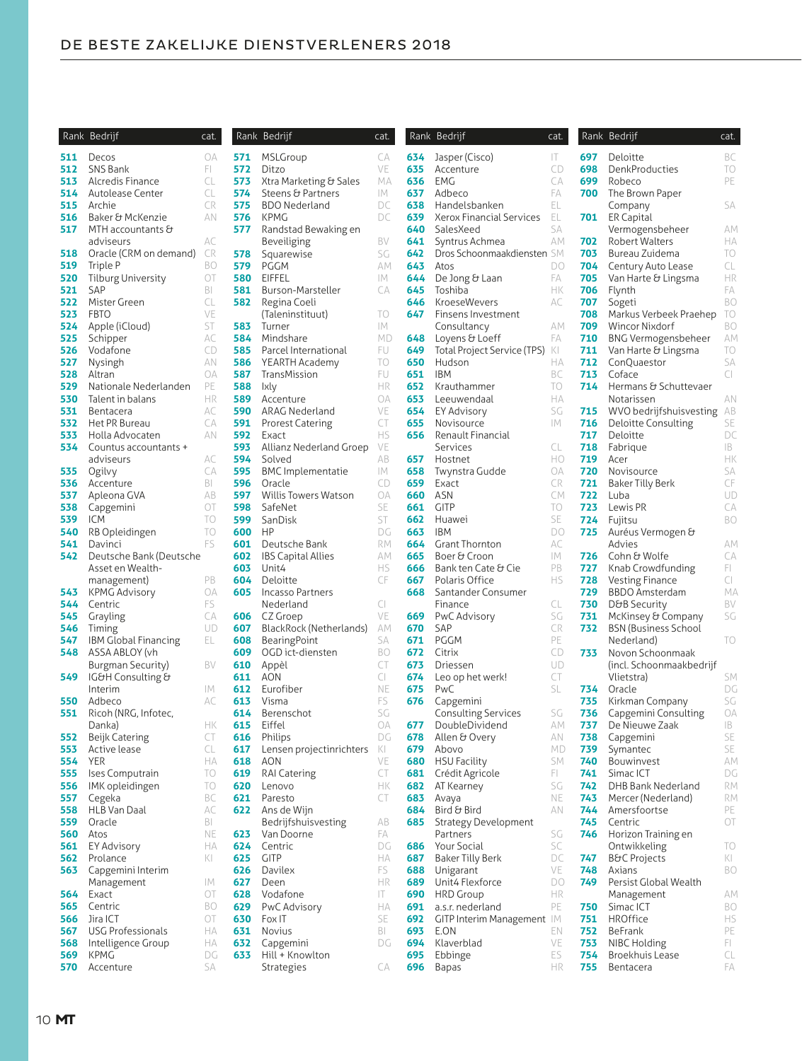|                | Rank Bedrijf                   | cat.      |            | Rank Bedrijf                        | cat.      |            | Rank Bedrijf                    | cat.      |            | Rank Bedrijf                                 | cat      |
|----------------|--------------------------------|-----------|------------|-------------------------------------|-----------|------------|---------------------------------|-----------|------------|----------------------------------------------|----------|
|                | 511 Decos                      | OA        | 571        | MSLGroup                            | CA        | 634        | Jasper (Cisco)                  | IT.       | 697        | Deloitte                                     | BC       |
| 512            | SNS Bank                       | FL.       | 572        | Ditzo                               | VE        | 635        | Accenture                       | CD        | 698        | DenkProducties                               | TC       |
| 513            | Alcredis Finance               | CL        | 573        | Xtra Marketing & Sales              | МA        | 636        | EMG                             | CA        | 699        | Robeco                                       | PE       |
| 514            | Autolease Center               | CL        | 574        | Steens & Partners                   | IМ        | 637        | Adbeco                          | FA        | 700        | The Brown Paper                              |          |
| 515            | Archie                         | CR        | 575        | <b>BDO Nederland</b>                | DC        | 638        | Handelsbanken                   | EL        |            | Company                                      | SA       |
| 516            | Baker & McKenzie               | AN        | 576        | <b>KPMG</b>                         | DC        | 639        | Xerox Financial Services        | EL        | 701        | <b>ER Capital</b>                            |          |
| 517            | MTH accountants &              |           | 577        | Randstad Bewaking en                |           | 640        | SalesXeed                       | SA        |            | Vermogensbeheer                              | AN       |
|                | adviseurs                      | АC        |            | Beveiliging                         | BV        | 641        | Syntrus Achmea                  | АM        | 702        | <b>Robert Walters</b>                        | HA       |
| 518            | Oracle (CRM on demand)         | CR        | 578        | Squarewise                          | SG        | 642        | Dros Schoonmaakdiensten SM      |           | 703        | Bureau Zuidema                               | TC       |
| 519            | Triple P                       | BO        | 579        | PGGM                                | AM        | 643        | Atos                            | DO        | 704        | Century Auto Lease                           | CL       |
| 520            | <b>Tilburg University</b>      | OT        | 580        | EIFFEL                              | IM.       | 644        | De Jong & Laan                  | FA        | 705        | Van Harte & Lingsma                          | HR       |
| 521            | SAP                            | BI        | 581        | Burson-Marsteller                   | CA        | 645        | Toshiba                         | HК        | 706        | Flynth                                       | FA       |
| 522            | Mister Green                   | CL<br>VE  | 582        | Regina Coeli                        |           | 646<br>647 | <b>KroeseWevers</b>             | АC        | 707        | Sogeti                                       | BC       |
| 523            | <b>FBTO</b>                    | ST        | 583        | (Taleninstituut)                    | TO<br>IМ  |            | Finsens Investment              | АM        | 708<br>709 | Markus Verbeek Praehep                       | TC<br>BC |
| 524<br>525     | Apple (iCloud)                 | АC        | 584        | Turner<br>Mindshare                 | MD        | 648        | Consultancy<br>Loyens & Loeff   | FA        | 710        | Wincor Nixdorf<br><b>BNG Vermogensbeheer</b> | AN       |
| 526            | Schipper<br>Vodafone           | CD        | 585        | Parcel International                | FU.       | 649        | Total Project Service (TPS)     | KI        | 711        | Van Harte & Lingsma                          | TC       |
| 527            | Nysingh                        | AN        | 586        | YEARTH Academy                      | TO        | 650        | Hudson                          | НA        | 712        | ConQuaestor                                  | SA       |
| 528            | Altran                         | OA        | 587        | TransMission                        | FU        | 651        | <b>IBM</b>                      | BC        | 713        | Coface                                       | CI       |
| 529            | Nationale Nederlanden          | PE        | 588        | Ixly                                | HR        | 652        | Krauthammer                     | TO        | 714        | Hermans & Schuttevaer                        |          |
| 530            | Talent in balans               | HR        | 589        | Accenture                           | <b>OA</b> | 653        | Leeuwendaal                     | ΗA        |            | Notarissen                                   | AN       |
| 531            | Bentacera                      | АC        | 590        | ARAG Nederland                      | VE        | 654        | <b>EY Advisory</b>              | SG        | 715        | WVO bedrijfshuisvesting                      | AB       |
| 532            | Het PR Bureau                  | CA        | 591        | <b>Prorest Catering</b>             | CT        | 655        | Novisource                      | IM.       | 716        | Deloitte Consulting                          | SE       |
| 533            | Holla Advocaten                | AN        | 592        | Exact                               | <b>HS</b> | 656        | Renault Financial               |           | 717        | Deloitte                                     | D(       |
| 534            | Countus accountants +          |           | 593        | Allianz Nederland Groep             | VE        |            | Services                        | CL        | 718        | Fabrique                                     | IB       |
|                | adviseurs                      | АC        | 594        | Solved                              | AB        | 657        | Hostnet                         | HO        | 719        | Acer                                         | Hŀ       |
| 535            | Ogilvy                         | CA        | 595        | <b>BMC</b> Implementatie            | IМ        | 658        | Twynstra Gudde                  | OA        | 720        | Novisource                                   | SA       |
| 536            | Accenture                      | BI        | 596        | Oracle                              | CD        | 659        | Exact                           | <b>CR</b> | 721        | <b>Baker Tilly Berk</b>                      | CF       |
| 537            | Apleona GVA                    | AB        | 597        | Willis Towers Watson                | OA        | 660        | ASN                             | <b>CM</b> | 722        | Luba                                         | UD       |
| 538            | Capgemini                      | OT        | 598        | SafeNet                             | SE        | 661        | <b>GITP</b>                     | TO        | 723        | Lewis PR                                     | CA       |
| 539            | <b>ICM</b>                     | TO        | 599        | SanDisk                             | ST        | 662        | Huawei                          | SE        | 724        | Fujitsu                                      | BC       |
| 540            | RB Opleidingen                 | TO        | 600        | HP                                  | DG        | 663        | <b>IBM</b>                      | DO        | 725        | Auréus Vermogen &                            |          |
| 541            | Davinci                        | FS        | 601        | Deutsche Bank                       | RM        | 664        | <b>Grant Thornton</b>           | АC        |            | Advies                                       | AN       |
| 542            | Deutsche Bank (Deutsche        |           | 602        | <b>IBS Capital Allies</b>           | АM        | 665        | Boer & Croon                    | IM.       | 726        | Cohn & Wolfe                                 | C        |
|                | Asset en Wealth-               |           | 603        | Unit4                               | <b>HS</b> | 666        | Bank ten Cate & Cie             | PB        | 727        | Knab Crowdfunding                            | FL.      |
|                | management)                    | PB        | 604        | Deloitte                            | CF        | 667        | Polaris Office                  | <b>HS</b> | 728        | <b>Vesting Finance</b>                       | CI       |
| 543            | <b>KPMG Advisory</b>           | <b>OA</b> | 605        | Incasso Partners                    |           | 668        | Santander Consumer              |           | 729        | <b>BBDO Amsterdam</b>                        | M        |
| 544            | Centric                        | FS        |            | Nederland                           | CI        |            | Finance                         | CL        | 730        | D&B Security                                 | BV       |
| 545            | Grayling                       | СA        | 606        | CZ Groep                            | VE        | 669        | PwC Advisory                    | SG        | 731        | McKinsey & Company                           | SC       |
| 546            | Timing                         | UD        | 607        | BlackRock (Netherlands)             | АM        | 670        | SAP                             | CR        | 732        | <b>BSN (Business School</b>                  |          |
| 547            | IBM Global Financing           | EL        | 608        | BearingPoint                        | SA        | 671        | <b>PGGM</b>                     | PE        |            | Nederland)                                   | ТC       |
| 548            | ASSA ABLOY (vh                 |           | 609        | OGD ict-diensten                    | BO        | 672        | Citrix                          | CD        | 733        | Novon Schoonmaak                             |          |
|                | Burgman Security)              | BV        | 610        | Appèl                               | CT        | 673        | Driessen                        | UD        |            | (incl. Schoonmaakbedrijf                     |          |
| 549            | IG&H Consulting &              |           | 611        | AON                                 | CI        | 674        | Leo op het werk!                | CT        |            | Vlietstra)                                   | SN       |
|                | Interim                        | IМ        | 612        | Eurofiber                           | NE        | 675        | PwC                             | SL        | 734        | Oracle                                       | D(       |
| 550            | Adbeco                         | АC        | 613        | Visma                               | FS        | 676        | Capgemini                       |           | 735        | Kirkman Company                              | SC       |
| 551            | Ricoh (NRG, Infotec,           | HК        | 614        | Berenschot<br>Eiffel                | SG<br>OA  | 677        | Consulting Services             | SG<br>AM  | 736<br>737 | Capgemini Consulting<br>De Nieuwe Zaak       | O/<br>IB |
| 552            | Danka)                         | CT        | 615<br>616 |                                     | DG        | 678        | DoubleDividend<br>Allen & Overy | ΑN        | 738        |                                              | SE       |
| 553            | Beijk Catering<br>Active lease | CL        | 617        | Philips<br>Lensen projectinrichters | KI        | 679        | Abovo                           | MD        | 739        | Capgemini<br>Symantec                        | SE       |
| <b>554</b> YER |                                | НA        | 618        | AON                                 | VE        | 680        | <b>HSU Facility</b>             | SM        | 740        | Bouwinvest                                   | A٨       |
| 555            | Ises Computrain                | TO        | 619        | <b>RAI Catering</b>                 | CT        |            | 681 Crédit Agricole             | FI.       | 741        | Simac ICT                                    | D(       |
| 556            | IMK opleidingen                | TO        | 620        | Lenovo                              | HК        | 682        | AT Kearney                      | SG        | 742        | DHB Bank Nederland                           | RN       |
| 557            | Cegeka                         | BC        | 621        | Paresto                             | CT        | 683        | Avaya                           | NE        | 743        | Mercer (Nederland)                           | RN       |
| 558            | HLB Van Daal                   | АC        | 622        | Ans de Wijn                         |           | 684        | Bird & Bird                     | ΑN        | 744        | Amersfoortse                                 | PE       |
| 559            | Oracle                         | BI        |            | Bedrijfshuisvesting                 | AB        | 685        | Strategy Development            |           | 745        | Centric                                      | O1       |
| 560            | Atos                           | NE        | 623        | Van Doorne                          | FA        |            | Partners                        | SG        | 746        | Horizon Training en                          |          |
| 561            | <b>EY Advisory</b>             | НA        | 624        | Centric                             | DG        | 686        | Your Social                     | SC        |            | Ontwikkeling                                 | ТC       |
| 562            | Prolance                       | KI        | 625        | <b>GITP</b>                         | ΗA        | 687        | <b>Baker Tilly Berk</b>         | DC        | 747        | <b>B&amp;C Projects</b>                      | KI       |
| 563            | Capgemini Interim              |           | 626        | Davilex                             | FS        | 688        | Unigarant                       | VE        | 748        | Axians                                       | BC       |
|                | Management                     | IМ        | 627        | Deen                                | HR        | 689        | Unit4 Flexforce                 | DO        | 749        | Persist Global Wealth                        |          |
| 564            | Exact                          | ОT        | 628        | Vodafone                            | IT.       | 690        | <b>HRD</b> Group                | HR        |            | Management                                   | ΑN       |
| 565            | Centric                        | BO        | 629        | PwC Advisory                        | НA        | 691        | a.s.r. nederland                | PE        | 750        | Simac ICT                                    | BC       |
| 566            | Jira ICT                       | ОT        | 630        | Fox IT                              | SE        | 692        | GITP Interim Management IM      |           | 751        | HROffice                                     | HS       |
| 567            | <b>USG Professionals</b>       | НA        | 631        | Novius                              | BI        | 693        | E.ON                            | EN        | 752        | BeFrank                                      | PE       |
| 568            | Intelligence Group             | НA        | 632        | Capgemini                           | DG        | 694        | Klaverblad                      | VE        | 753        | NIBC Holding                                 | FL.      |
| 569            | KPMG                           | DG        | 633        | Hill + Knowlton                     |           | 695        | Ebbinge                         | ES        | 754        | Broekhuis Lease                              | CL       |
| 570            | Accenture                      | SА        |            | Strategies                          | СA        | 696        | Bapas                           | HR        | 755        | Bentacera                                    | FA       |

| Rank       | Bedrijf                                      | cat.                                   | Ranl       |
|------------|----------------------------------------------|----------------------------------------|------------|
| 634        | Jasper (Cisco)                               | IT                                     | 697        |
| 635        | Accenture                                    | CD                                     | 698        |
| 636        | <b>EMG</b>                                   | CA                                     | 699        |
| 637        | Adbeco                                       | FA                                     | 700        |
| 638        | Handelsbanken                                | EL                                     |            |
| 639<br>640 | Xerox Financial Services<br>SalesXeed        | EL<br>SA                               | 701        |
| 641        | Syntrus Achmea                               | АM                                     | 702        |
| 642        | Dros Schoonmaakdiensten SM                   |                                        | 703        |
| 643        | Atos                                         | DO                                     | 704        |
| 644        | De Jong & Laan                               | FА                                     | 705        |
| 645        | Toshiba                                      | HК                                     | 706        |
| 646        | KroeseWevers                                 | AC                                     | 707        |
| 647        | Finsens Investment<br>Consultancy            | AМ                                     | 708<br>709 |
| 648        | Loyens & Loeff                               | FА                                     | 710        |
| 649        | Total Project Service (TPS)                  | $\overline{\left\langle \right\vert }$ | 711        |
| 650        | Hudson                                       | НA                                     | 712        |
| 651        | IBM                                          | ВC                                     | 713        |
| 652        | Krauthammer                                  | TO                                     | 714        |
| 653        | Leeuwendaal                                  | НA                                     |            |
| 654        | EY Advisory                                  | SG                                     | 715        |
| 655<br>656 | Novisource<br>Renault Financial              | IM                                     | 716<br>717 |
|            | Services                                     | CL                                     | 718        |
| 657        | Hostnet                                      | НO                                     | 719        |
| 658        | Twynstra Gudde                               | <b>OA</b>                              | 720        |
| 659        | Exact                                        | CR                                     | 721        |
| 660        | ASN                                          | СM                                     | 722        |
| 661        | <b>GITP</b>                                  | TO                                     | 723        |
| 662        | Huawei                                       | SE                                     | 724        |
| 663<br>664 | IBM<br><b>Grant Thornton</b>                 | DO<br>АC                               | 725        |
| 665        | Boer & Croon                                 | IM.                                    | 726        |
| 666        | Bank ten Cate & Cie                          | PB                                     | 727        |
| 667        | Polaris Office                               | НS                                     | 728        |
| 668        | Santander Consumer                           |                                        | 729        |
|            | Finance                                      | СL                                     | 730        |
| 669        | PwC Advisory                                 | SG<br>CR                               | 731        |
| 670<br>671 | SAP<br>PGGM                                  | PE                                     | 732        |
| 672        | Citrix                                       | CD                                     | 733        |
| 673        | Driessen                                     | UD                                     |            |
| 674        | Leo op het werk!                             | CT                                     |            |
| 675        | PwC                                          | SL                                     | 734        |
| 676        | Capgemini                                    |                                        | 735        |
|            | <b>Consulting Services</b><br>DoubleDividend | SG                                     | 736<br>737 |
| 677<br>678 | Allen & Overy                                | AМ<br>ΑN                               | 738        |
| 679        | Abovo                                        | МD                                     | 739        |
| 680        | HSU Facility                                 | SМ                                     | 740        |
| 681        | Crédit Agricole                              | FI.                                    | 741        |
| 682        | AT Kearney                                   | SG                                     | 742        |
| 683        | Avaya                                        | NE                                     | 743        |
| 684        | Bird & Bird                                  | ΑN                                     | 744        |
| 685        | Strategy Development<br>Partners             | SG                                     | 745<br>746 |
| 686        | Your Social                                  | SC                                     |            |
| 687        | <b>Baker Tilly Berk</b>                      | DC                                     | 747        |
| 688        | Unigarant                                    | VE                                     | 748        |
| 689        | Unit4 Flexforce                              | DO                                     | 749        |
| 690        | <b>HRD Group</b>                             | НR                                     |            |
| 691        | a.s.r. nederland                             | PE                                     | 750        |
| 692        | <b>GITP Interim Management</b>               | IМ                                     | 751        |
| 693<br>694 | E.ON<br>Klaverblad                           | ΕN<br>VE                               | 752<br>753 |
| 695        | Ebbinge                                      | ES                                     | 754        |
| 696        | Bapas                                        | HR                                     | 755        |

|            | Rank Bedrijf                                | cat.            |
|------------|---------------------------------------------|-----------------|
| 697        | Deloitte                                    | ВC              |
| 698        | DenkProducties                              | TO              |
| 699        | Robeco                                      | PE              |
| 700        | The Brown Paper<br>Company                  | SA              |
| 701        | <b>ER Capital</b>                           |                 |
| 702        | Vermogensbeheer<br><b>Robert Walters</b>    | АM<br>НA        |
| 703        | Bureau Zuidema                              | TO              |
| 704        | Century Auto Lease                          | CL              |
| 705        | Van Harte & Lingsma                         | HR              |
| 706<br>707 | Flynth<br>Sogeti                            | FA<br>BO        |
| 708        | Markus Verbeek Praehep                      | TO              |
| 709        | <b>Wincor Nixdorf</b>                       | BO              |
| 710        | <b>BNG Vermogensbeheer</b>                  | AМ              |
| 711        | Van Harte & Lingsma                         | TO              |
| 712<br>713 | ConQuaestor<br>Coface                       | SA<br>CI        |
| 714        | Hermans & Schuttevaer                       |                 |
|            | Notarissen                                  | ΑN              |
| 715        | WVO bedrijfshuisvesting                     | AВ              |
| 716<br>717 | <b>Deloitte Consulting</b>                  | SE              |
| 718        | Deloitte<br>Fabrique                        | DC<br><b>IB</b> |
| 719        | Acer                                        | HК              |
| 720        | Novisource                                  | SA              |
| 721        | <b>Baker Tilly Berk</b>                     | CF              |
| 722<br>723 | Luba<br>Lewis PR                            | UD<br>CA        |
| 724        | Fujitsu                                     | BO              |
| 725        | Auréus Vermogen &                           |                 |
|            | Advies                                      | AМ              |
| 726        | Cohn & Wolfe                                | CА              |
| 727<br>728 | Knab Crowdfunding<br><b>Vesting Finance</b> | FI.<br>CI       |
| 729        | <b>BBDO Amsterdam</b>                       | МA              |
| 730        | D&B Security                                | BV              |
| 731        | McKinsey & Company                          | SG              |
| 732        | BSN (Business School<br>Nederland)          | TO              |
| 733        | Novon Schoonmaak                            |                 |
|            | (incl. Schoonmaakbedrijf                    |                 |
|            | Vlietstra)                                  | SM              |
| 734<br>735 | Oracle<br>Kirkman Company                   | DG<br>SG        |
| 736        | Capgemini Consulting                        | ОA              |
| 737        | De Nieuwe Zaak                              | IB.             |
| 738        | Capgemini                                   | SE              |
| 739<br>740 | Symantec<br>Bouwinvest                      | SE<br>AM        |
| 741        | Simac ICT                                   | DG              |
| 742        | DHB Bank Nederland                          | RM              |
| 743        | Mercer (Nederland)                          | RM              |
| 744        | Amersfoortse                                | PE              |
| 745<br>746 | Centric<br>Horizon Training en              | ОT              |
|            | Ontwikkeling                                | TO              |
| 747        | <b>B&amp;C Projects</b>                     | KI              |
| 748        | Axians                                      | <b>BO</b>       |
| 749        | Persist Global Wealth                       |                 |
| 750        | Management<br>Simac ICT                     | AМ<br>ВO        |
| 751        | <b>HROffice</b>                             | HS              |
| 752        | BeFrank                                     | PE              |
| 753        | NIBC Holding                                | FL.             |
| 754<br>755 | Broekhuis Lease<br>Bentacera                | CL<br>FA        |
|            |                                             |                 |